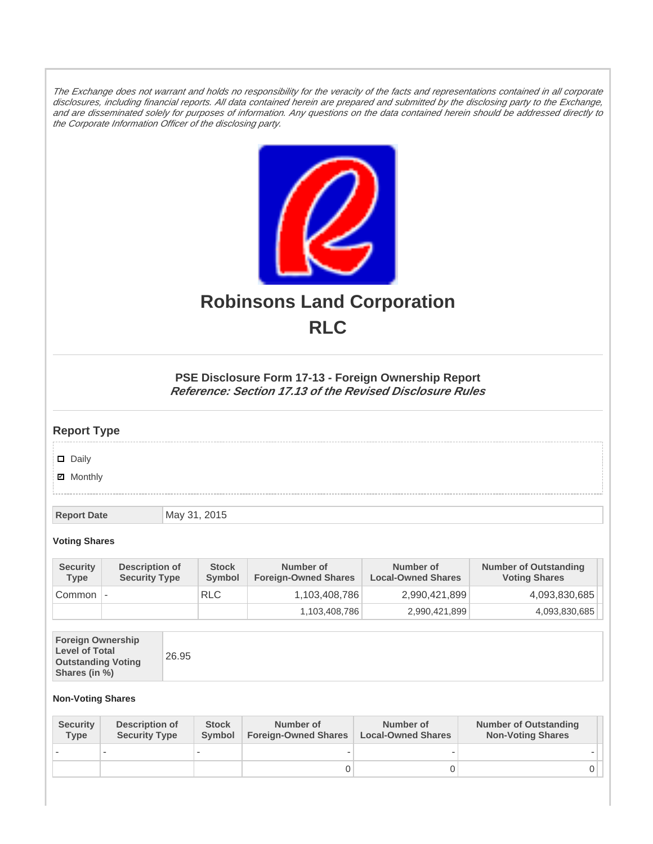The Exchange does not warrant and holds no responsibility for the veracity of the facts and representations contained in all corporate disclosures, including financial reports. All data contained herein are prepared and submitted by the disclosing party to the Exchange, and are disseminated solely for purposes of information. Any questions on the data contained herein should be addressed directly to the Corporate Information Officer of the disclosing party.



# **Robinsons Land Corporation RLC**

## **PSE Disclosure Form 17-13 - Foreign Ownership Report Reference: Section 17.13 of the Revised Disclosure Rules**

## **Report Type**

Daily

**Ø** Monthly

**Report Date** May 31, 2015

#### **Voting Shares**

| <b>Security</b><br><b>Type</b> | Description of<br><b>Security Type</b> | <b>Stock</b><br>Symbol | Number of<br><b>Foreign-Owned Shares</b> | Number of<br><b>Local-Owned Shares</b> | <b>Number of Outstanding</b><br><b>Voting Shares</b> |
|--------------------------------|----------------------------------------|------------------------|------------------------------------------|----------------------------------------|------------------------------------------------------|
| Common                         | $\overline{\phantom{a}}$               | <b>RLC</b>             | 1,103,408,786                            | 2,990,421,899                          | 4,093,830,685                                        |
|                                |                                        |                        | 1,103,408,786                            | 2,990,421,899                          | 4,093,830,685                                        |

| <b>Foreign Ownership</b><br><b>Level of Total</b><br><b>Outstanding Voting</b><br>Shares (in %) |
|-------------------------------------------------------------------------------------------------|
|-------------------------------------------------------------------------------------------------|

### **Non-Voting Shares**

| <b>Security</b><br><b>Type</b> | Description of<br><b>Security Type</b> | <b>Stock</b><br>Symbol | Number of<br><b>Foreign-Owned Shares</b> | Number of<br><b>Local-Owned Shares</b> | <b>Number of Outstanding</b><br><b>Non-Voting Shares</b> |
|--------------------------------|----------------------------------------|------------------------|------------------------------------------|----------------------------------------|----------------------------------------------------------|
|                                |                                        |                        |                                          |                                        |                                                          |
|                                |                                        |                        |                                          |                                        | 0 I                                                      |